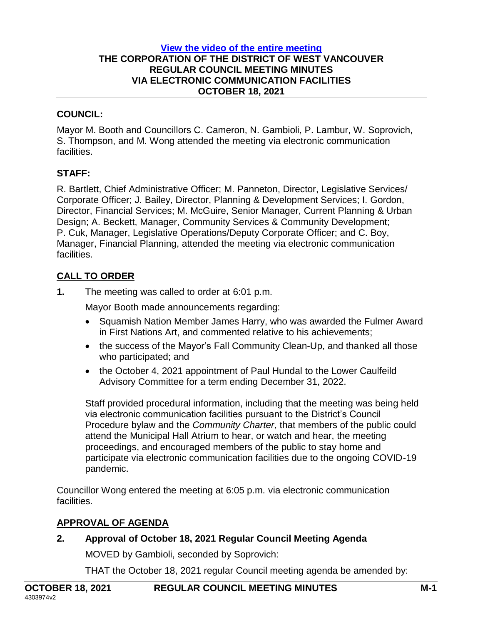#### **[View the video of the entire meeting](https://westvancouver.ca/government/mayor-council/council-videos) THE CORPORATION OF THE DISTRICT OF WEST VANCOUVER REGULAR COUNCIL MEETING MINUTES VIA ELECTRONIC COMMUNICATION FACILITIES OCTOBER 18, 2021**

### **COUNCIL:**

Mayor M. Booth and Councillors C. Cameron, N. Gambioli, P. Lambur, W. Soprovich, S. Thompson, and M. Wong attended the meeting via electronic communication facilities.

## **STAFF:**

R. Bartlett, Chief Administrative Officer; M. Panneton, Director, Legislative Services/ Corporate Officer; J. Bailey, Director, Planning & Development Services; I. Gordon, Director, Financial Services; M. McGuire, Senior Manager, Current Planning & Urban Design; A. Beckett, Manager, Community Services & Community Development; P. Cuk, Manager, Legislative Operations/Deputy Corporate Officer; and C. Boy, Manager, Financial Planning, attended the meeting via electronic communication facilities.

# **CALL TO ORDER**

**1.** The meeting was called to order at 6:01 p.m.

Mayor Booth made announcements regarding:

- Squamish Nation Member James Harry, who was awarded the Fulmer Award in First Nations Art, and commented relative to his achievements;
- the success of the Mayor's Fall Community Clean-Up, and thanked all those who participated; and
- the October 4, 2021 appointment of Paul Hundal to the Lower Caulfeild Advisory Committee for a term ending December 31, 2022.

Staff provided procedural information, including that the meeting was being held via electronic communication facilities pursuant to the District's Council Procedure bylaw and the *Community Charter*, that members of the public could attend the Municipal Hall Atrium to hear, or watch and hear, the meeting proceedings, and encouraged members of the public to stay home and participate via electronic communication facilities due to the ongoing COVID-19 pandemic.

Councillor Wong entered the meeting at 6:05 p.m. via electronic communication facilities.

## **APPROVAL OF AGENDA**

# **2. Approval of October 18, 2021 Regular Council Meeting Agenda** MOVED by Gambioli, seconded by Soprovich:

THAT the October 18, 2021 regular Council meeting agenda be amended by: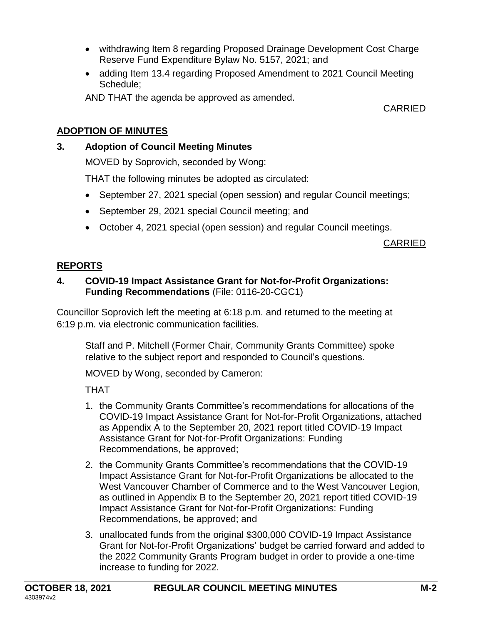- withdrawing Item 8 regarding Proposed Drainage Development Cost Charge Reserve Fund Expenditure Bylaw No. 5157, 2021; and
- adding Item 13.4 regarding Proposed Amendment to 2021 Council Meeting Schedule;

AND THAT the agenda be approved as amended.

CARRIED

# **ADOPTION OF MINUTES**

# **3. Adoption of Council Meeting Minutes**

MOVED by Soprovich, seconded by Wong:

THAT the following minutes be adopted as circulated:

- September 27, 2021 special (open session) and regular Council meetings;
- September 29, 2021 special Council meeting; and
- October 4, 2021 special (open session) and regular Council meetings.

CARRIED

# **REPORTS**

## **4. COVID-19 Impact Assistance Grant for Not-for-Profit Organizations: Funding Recommendations** (File: 0116-20-CGC1)

Councillor Soprovich left the meeting at 6:18 p.m. and returned to the meeting at 6:19 p.m. via electronic communication facilities.

Staff and P. Mitchell (Former Chair, Community Grants Committee) spoke relative to the subject report and responded to Council's questions.

MOVED by Wong, seconded by Cameron:

THAT

- 1. the Community Grants Committee's recommendations for allocations of the COVID-19 Impact Assistance Grant for Not-for-Profit Organizations, attached as Appendix A to the September 20, 2021 report titled COVID-19 Impact Assistance Grant for Not-for-Profit Organizations: Funding Recommendations, be approved;
- 2. the Community Grants Committee's recommendations that the COVID-19 Impact Assistance Grant for Not-for-Profit Organizations be allocated to the West Vancouver Chamber of Commerce and to the West Vancouver Legion, as outlined in Appendix B to the September 20, 2021 report titled COVID-19 Impact Assistance Grant for Not-for-Profit Organizations: Funding Recommendations, be approved; and
- 3. unallocated funds from the original \$300,000 COVID-19 Impact Assistance Grant for Not-for-Profit Organizations' budget be carried forward and added to the 2022 Community Grants Program budget in order to provide a one-time increase to funding for 2022.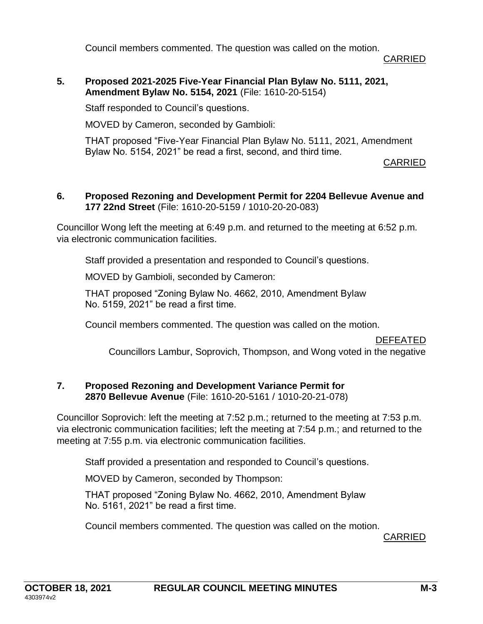Council members commented. The question was called on the motion.

CARRIED

**5. Proposed 2021-2025 Five-Year Financial Plan Bylaw No. 5111, 2021, Amendment Bylaw No. 5154, 2021** (File: 1610-20-5154)

Staff responded to Council's questions.

MOVED by Cameron, seconded by Gambioli:

THAT proposed "Five-Year Financial Plan Bylaw No. 5111, 2021, Amendment Bylaw No. 5154, 2021" be read a first, second, and third time.

CARRIED

#### **6. Proposed Rezoning and Development Permit for 2204 Bellevue Avenue and 177 22nd Street** (File: 1610-20-5159 / 1010-20-20-083)

Councillor Wong left the meeting at 6:49 p.m. and returned to the meeting at 6:52 p.m. via electronic communication facilities.

Staff provided a presentation and responded to Council's questions.

MOVED by Gambioli, seconded by Cameron:

THAT proposed "Zoning Bylaw No. 4662, 2010, Amendment Bylaw No. 5159, 2021" be read a first time.

Council members commented. The question was called on the motion.

DEFEATED

Councillors Lambur, Soprovich, Thompson, and Wong voted in the negative

#### **7. Proposed Rezoning and Development Variance Permit for 2870 Bellevue Avenue** (File: 1610-20-5161 / 1010-20-21-078)

Councillor Soprovich: left the meeting at 7:52 p.m.; returned to the meeting at 7:53 p.m. via electronic communication facilities; left the meeting at 7:54 p.m.; and returned to the meeting at 7:55 p.m. via electronic communication facilities.

Staff provided a presentation and responded to Council's questions.

MOVED by Cameron, seconded by Thompson:

THAT proposed "Zoning Bylaw No. 4662, 2010, Amendment Bylaw No. 5161, 2021" be read a first time.

Council members commented. The question was called on the motion.

CARRIED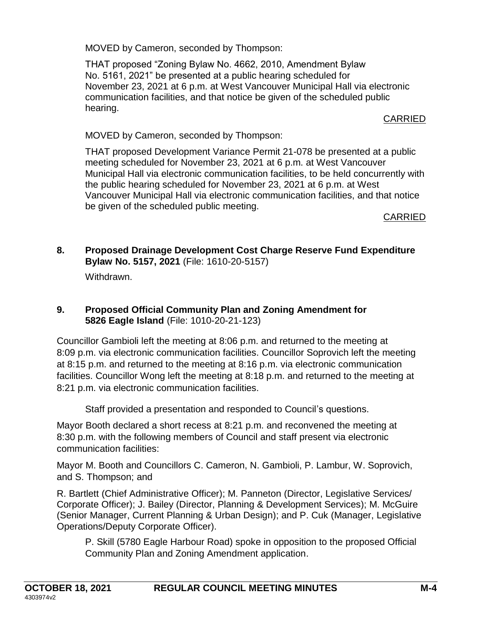MOVED by Cameron, seconded by Thompson:

THAT proposed "Zoning Bylaw No. 4662, 2010, Amendment Bylaw No. 5161, 2021" be presented at a public hearing scheduled for November 23, 2021 at 6 p.m. at West Vancouver Municipal Hall via electronic communication facilities, and that notice be given of the scheduled public hearing.

CARRIED

MOVED by Cameron, seconded by Thompson:

THAT proposed Development Variance Permit 21-078 be presented at a public meeting scheduled for November 23, 2021 at 6 p.m. at West Vancouver Municipal Hall via electronic communication facilities, to be held concurrently with the public hearing scheduled for November 23, 2021 at 6 p.m. at West Vancouver Municipal Hall via electronic communication facilities, and that notice be given of the scheduled public meeting.

CARRIED

**8. Proposed Drainage Development Cost Charge Reserve Fund Expenditure Bylaw No. 5157, 2021** (File: 1610-20-5157)

Withdrawn.

## **9. Proposed Official Community Plan and Zoning Amendment for 5826 Eagle Island** (File: 1010-20-21-123)

Councillor Gambioli left the meeting at 8:06 p.m. and returned to the meeting at 8:09 p.m. via electronic communication facilities. Councillor Soprovich left the meeting at 8:15 p.m. and returned to the meeting at 8:16 p.m. via electronic communication facilities. Councillor Wong left the meeting at 8:18 p.m. and returned to the meeting at 8:21 p.m. via electronic communication facilities.

Staff provided a presentation and responded to Council's questions.

Mayor Booth declared a short recess at 8:21 p.m. and reconvened the meeting at 8:30 p.m. with the following members of Council and staff present via electronic communication facilities:

Mayor M. Booth and Councillors C. Cameron, N. Gambioli, P. Lambur, W. Soprovich, and S. Thompson; and

R. Bartlett (Chief Administrative Officer); M. Panneton (Director, Legislative Services/ Corporate Officer); J. Bailey (Director, Planning & Development Services); M. McGuire (Senior Manager, Current Planning & Urban Design); and P. Cuk (Manager, Legislative Operations/Deputy Corporate Officer).

P. Skill (5780 Eagle Harbour Road) spoke in opposition to the proposed Official Community Plan and Zoning Amendment application.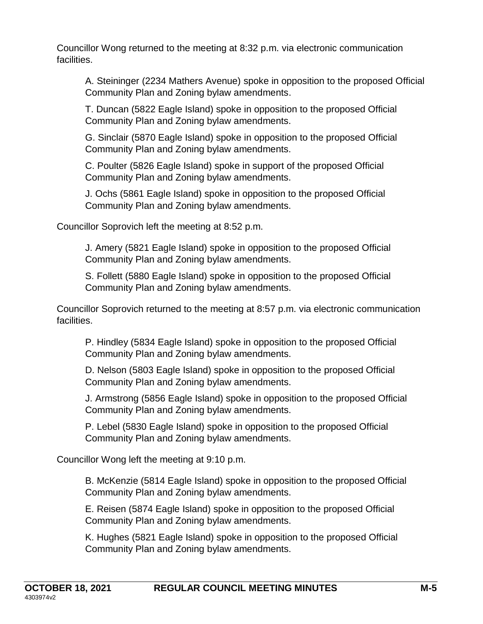Councillor Wong returned to the meeting at 8:32 p.m. via electronic communication facilities.

A. Steininger (2234 Mathers Avenue) spoke in opposition to the proposed Official Community Plan and Zoning bylaw amendments.

T. Duncan (5822 Eagle Island) spoke in opposition to the proposed Official Community Plan and Zoning bylaw amendments.

G. Sinclair (5870 Eagle Island) spoke in opposition to the proposed Official Community Plan and Zoning bylaw amendments.

C. Poulter (5826 Eagle Island) spoke in support of the proposed Official Community Plan and Zoning bylaw amendments.

J. Ochs (5861 Eagle Island) spoke in opposition to the proposed Official Community Plan and Zoning bylaw amendments.

Councillor Soprovich left the meeting at 8:52 p.m.

J. Amery (5821 Eagle Island) spoke in opposition to the proposed Official Community Plan and Zoning bylaw amendments.

S. Follett (5880 Eagle Island) spoke in opposition to the proposed Official Community Plan and Zoning bylaw amendments.

Councillor Soprovich returned to the meeting at 8:57 p.m. via electronic communication facilities.

P. Hindley (5834 Eagle Island) spoke in opposition to the proposed Official Community Plan and Zoning bylaw amendments.

D. Nelson (5803 Eagle Island) spoke in opposition to the proposed Official Community Plan and Zoning bylaw amendments.

J. Armstrong (5856 Eagle Island) spoke in opposition to the proposed Official Community Plan and Zoning bylaw amendments.

P. Lebel (5830 Eagle Island) spoke in opposition to the proposed Official Community Plan and Zoning bylaw amendments.

Councillor Wong left the meeting at 9:10 p.m.

B. McKenzie (5814 Eagle Island) spoke in opposition to the proposed Official Community Plan and Zoning bylaw amendments.

E. Reisen (5874 Eagle Island) spoke in opposition to the proposed Official Community Plan and Zoning bylaw amendments.

K. Hughes (5821 Eagle Island) spoke in opposition to the proposed Official Community Plan and Zoning bylaw amendments.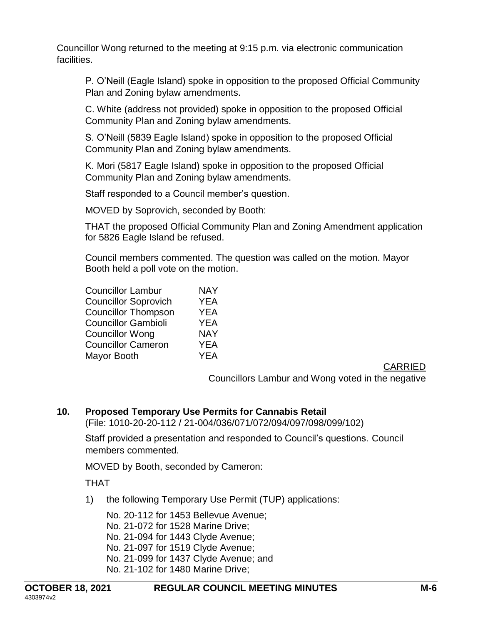Councillor Wong returned to the meeting at 9:15 p.m. via electronic communication facilities.

P. O'Neill (Eagle Island) spoke in opposition to the proposed Official Community Plan and Zoning bylaw amendments.

C. White (address not provided) spoke in opposition to the proposed Official Community Plan and Zoning bylaw amendments.

S. O'Neill (5839 Eagle Island) spoke in opposition to the proposed Official Community Plan and Zoning bylaw amendments.

K. Mori (5817 Eagle Island) spoke in opposition to the proposed Official Community Plan and Zoning bylaw amendments.

Staff responded to a Council member's question.

MOVED by Soprovich, seconded by Booth:

THAT the proposed Official Community Plan and Zoning Amendment application for 5826 Eagle Island be refused.

Council members commented. The question was called on the motion. Mayor Booth held a poll vote on the motion.

| <b>NAY</b> |
|------------|
| <b>YEA</b> |
| <b>YEA</b> |
| <b>YEA</b> |
| <b>NAY</b> |
| <b>YEA</b> |
| <b>YEA</b> |
|            |

CARRIED

Councillors Lambur and Wong voted in the negative

### **10. Proposed Temporary Use Permits for Cannabis Retail**

(File: 1010-20-20-112 / 21-004/036/071/072/094/097/098/099/102)

Staff provided a presentation and responded to Council's questions. Council members commented.

MOVED by Booth, seconded by Cameron:

THAT

1) the following Temporary Use Permit (TUP) applications:

No. 20-112 for 1453 Bellevue Avenue; No. 21-072 for 1528 Marine Drive; No. 21-094 for 1443 Clyde Avenue; No. 21-097 for 1519 Clyde Avenue; No. 21-099 for 1437 Clyde Avenue; and No. 21-102 for 1480 Marine Drive;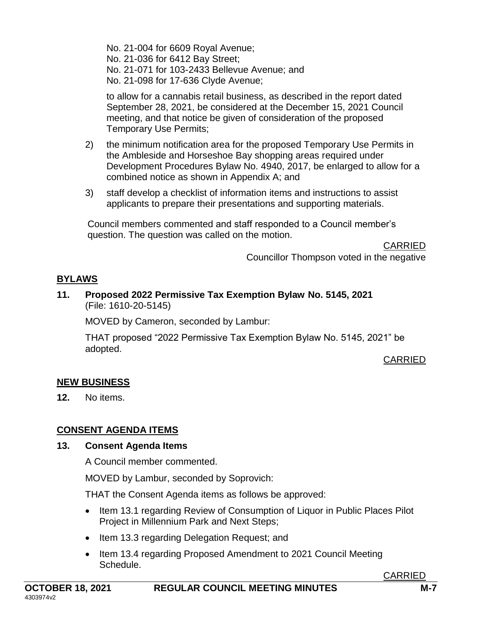No. 21-004 for 6609 Royal Avenue; No. 21-036 for 6412 Bay Street; No. 21-071 for 103-2433 Bellevue Avenue; and No. 21-098 for 17-636 Clyde Avenue;

to allow for a cannabis retail business, as described in the report dated September 28, 2021, be considered at the December 15, 2021 Council meeting, and that notice be given of consideration of the proposed Temporary Use Permits;

- 2) the minimum notification area for the proposed Temporary Use Permits in the Ambleside and Horseshoe Bay shopping areas required under Development Procedures Bylaw No. 4940, 2017, be enlarged to allow for a combined notice as shown in Appendix A; and
- 3) staff develop a checklist of information items and instructions to assist applicants to prepare their presentations and supporting materials.

Council members commented and staff responded to a Council member's question. The question was called on the motion.

> CARRIED Councillor Thompson voted in the negative

## **BYLAWS**

#### **11. Proposed 2022 Permissive Tax Exemption Bylaw No. 5145, 2021** (File: 1610-20-5145)

MOVED by Cameron, seconded by Lambur:

THAT proposed "2022 Permissive Tax Exemption Bylaw No. 5145, 2021" be adopted.

### CARRIED

### **NEW BUSINESS**

**12.** No items.

## **CONSENT AGENDA ITEMS**

### **13. Consent Agenda Items**

A Council member commented.

MOVED by Lambur, seconded by Soprovich:

THAT the Consent Agenda items as follows be approved:

- Item 13.1 regarding Review of Consumption of Liquor in Public Places Pilot Project in Millennium Park and Next Steps;
- Item 13.3 regarding Delegation Request; and
- Item 13.4 regarding Proposed Amendment to 2021 Council Meeting Schedule.

CARRIED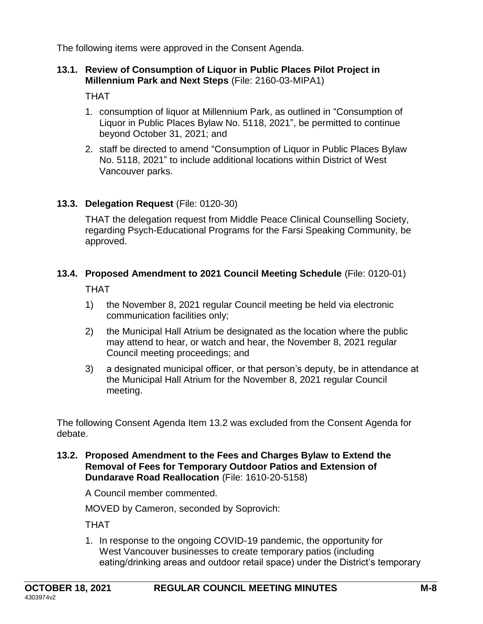The following items were approved in the Consent Agenda.

### **13.1. Review of Consumption of Liquor in Public Places Pilot Project in Millennium Park and Next Steps** (File: 2160-03-MIPA1)

THAT

- 1. consumption of liquor at Millennium Park, as outlined in "Consumption of Liquor in Public Places Bylaw No. 5118, 2021", be permitted to continue beyond October 31, 2021; and
- 2. staff be directed to amend "Consumption of Liquor in Public Places Bylaw No. 5118, 2021" to include additional locations within District of West Vancouver parks.

# **13.3. Delegation Request** (File: 0120-30)

THAT the delegation request from Middle Peace Clinical Counselling Society, regarding Psych-Educational Programs for the Farsi Speaking Community, be approved.

## **13.4. Proposed Amendment to 2021 Council Meeting Schedule** (File: 0120-01)

THAT

- 1) the November 8, 2021 regular Council meeting be held via electronic communication facilities only;
- 2) the Municipal Hall Atrium be designated as the location where the public may attend to hear, or watch and hear, the November 8, 2021 regular Council meeting proceedings; and
- 3) a designated municipal officer, or that person's deputy, be in attendance at the Municipal Hall Atrium for the November 8, 2021 regular Council meeting.

The following Consent Agenda Item 13.2 was excluded from the Consent Agenda for debate.

**13.2. Proposed Amendment to the Fees and Charges Bylaw to Extend the Removal of Fees for Temporary Outdoor Patios and Extension of Dundarave Road Reallocation** (File: 1610-20-5158)

A Council member commented.

MOVED by Cameron, seconded by Soprovich:

THAT

1. In response to the ongoing COVID-19 pandemic, the opportunity for West Vancouver businesses to create temporary patios (including eating/drinking areas and outdoor retail space) under the District's temporary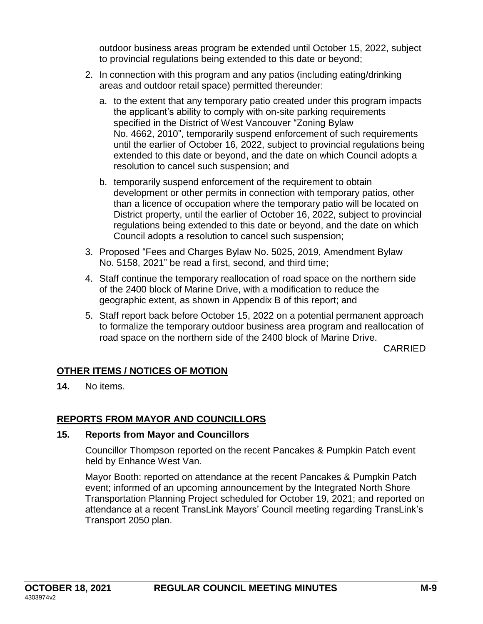outdoor business areas program be extended until October 15, 2022, subject to provincial regulations being extended to this date or beyond;

- 2. In connection with this program and any patios (including eating/drinking areas and outdoor retail space) permitted thereunder:
	- a. to the extent that any temporary patio created under this program impacts the applicant's ability to comply with on-site parking requirements specified in the District of West Vancouver "Zoning Bylaw No. 4662, 2010", temporarily suspend enforcement of such requirements until the earlier of October 16, 2022, subject to provincial regulations being extended to this date or beyond, and the date on which Council adopts a resolution to cancel such suspension; and
	- b. temporarily suspend enforcement of the requirement to obtain development or other permits in connection with temporary patios, other than a licence of occupation where the temporary patio will be located on District property, until the earlier of October 16, 2022, subject to provincial regulations being extended to this date or beyond, and the date on which Council adopts a resolution to cancel such suspension;
- 3. Proposed "Fees and Charges Bylaw No. 5025, 2019, Amendment Bylaw No. 5158, 2021" be read a first, second, and third time;
- 4. Staff continue the temporary reallocation of road space on the northern side of the 2400 block of Marine Drive, with a modification to reduce the geographic extent, as shown in Appendix B of this report; and
- 5. Staff report back before October 15, 2022 on a potential permanent approach to formalize the temporary outdoor business area program and reallocation of road space on the northern side of the 2400 block of Marine Drive.

CARRIED

## **OTHER ITEMS / NOTICES OF MOTION**

**14.** No items.

## **REPORTS FROM MAYOR AND COUNCILLORS**

### **15. Reports from Mayor and Councillors**

Councillor Thompson reported on the recent Pancakes & Pumpkin Patch event held by Enhance West Van.

Mayor Booth: reported on attendance at the recent Pancakes & Pumpkin Patch event; informed of an upcoming announcement by the Integrated North Shore Transportation Planning Project scheduled for October 19, 2021; and reported on attendance at a recent TransLink Mayors' Council meeting regarding TransLink's Transport 2050 plan.